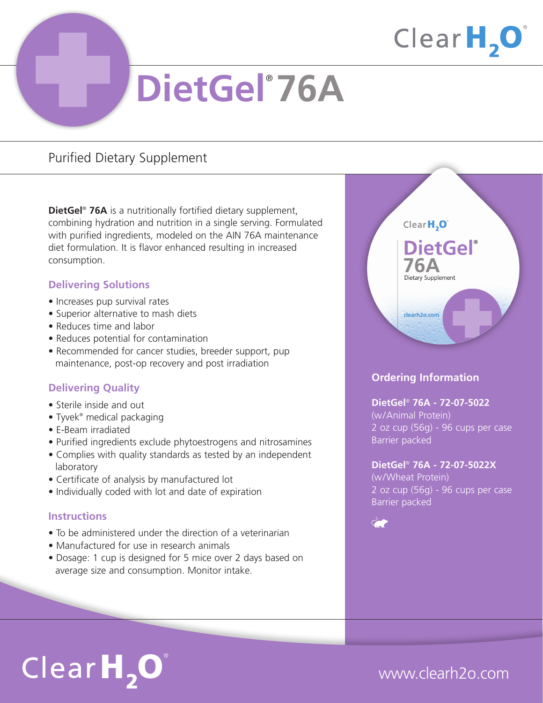## Clear $H, O$

# **DietGel**® **76A**

### Purified Dietary Supplement

**DietGel**® **76A** is a nutritionally fortified dietary supplement, combining hydration and nutrition in a single serving. Formulated with purified ingredients, modeled on the AIN 76A maintenance diet formulation. It is flavor enhanced resulting in increased consumption.

### **Delivering Solutions**

- Increases pup survival rates
- Superior alternative to mash diets
- Reduces time and labor
- Reduces potential for contamination
- Recommended for cancer studies, breeder support, pup maintenance, post-op recovery and post irradiation

### **Delivering Quality**

- Sterile inside and out
- Tyvek<sup>®</sup> medical packaging
- E-Beam irradiated
- Purified ingredients exclude phytoestrogens and nitrosamines
- Complies with quality standards as tested by an independent laboratory
- Certificate of analysis by manufactured lot
- Individually coded with lot and date of expiration

### **Instructions**

- To be administered under the direction of a veterinarian
- Manufactured for use in research animals
- Dosage: 1 cup is designed for 5 mice over 2 days based on average size and consumption. Monitor intake.



### **Ordering Information**

### **DietGel**® **76A - 72-07-5022**

(w/Animal Protein) 2 oz cup (56g) - 96 cups per case Barrier packed

### **DietGel**® **76A - 72-07-5022X**

(w/Wheat Protein) 2 oz cup (56g) - 96 cups per case Barrier packed



# $ClearH<sub>2</sub>O<sup>°</sup>$

### www.clearh2o.com